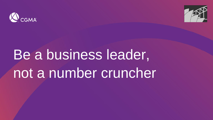



## Be a business leader, not a number cruncher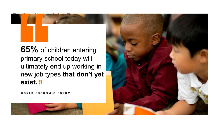65% of children entering primary school today will ultimately end up working in new job types that don't yet exist **"** 

**WORLD ECONOMIC FORUM** 

Professions of the Future

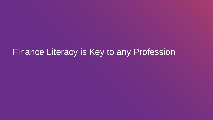## Finance Literacy is Key to any Profession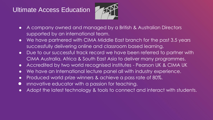#### Ultimate Access Education



- A company owned and managed by a British & Australian Directors supported by an international team.
- We have partnered with CIMA Middle East branch for the past 3.5 years successfully delivering online and classroom based learning.
- Due to our successful track record we have been referred to partner with CIMA Australia, Africa & South East Asia to deliver many programmes.
- Accredited by two world recognised institutes Pearson UK & CIMA UK
- We have an International lecture panel all with industry experience.
- Produced world prize winners & achieve a pass rate of 80%.
- **•** Innovative educator with a passion for teaching.
- Adopt the latest technology & tools to connect and interact with students.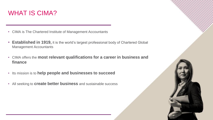#### WHAT IS CIMA?

- CIMA is The Chartered Institute of Management Accountants
- **Established in 1919,** it is the world's largest professional body of Chartered Global Management Accountants
- CIMA offers the **most relevant qualifications for a career in business and finance**
- Its mission is to **help people and businesses to succeed**
- All seeking to **create better business** and sustainable success

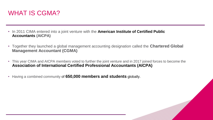

- In 2011 CIMA entered into a joint venture with the **American Institute of Certified Public Accountants (AICPA)**
- Together they launched a global management accounting designation called the **Chartered Global Management Accountant (CGMA)**
- This year CIMA and AICPA members voted to further the joint venture and in 2017 joined forces to become the **Association of International Certified Professional Accountants (AICPA)**
- Having a combined community of **650,000 members and students** globally.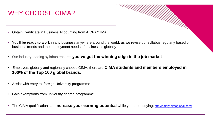#### WHY CHOOSE CIMA?

- Obtain Certificate in Business Accounting from AICPA/CIMA
- You'll **be ready to work** in any business anywhere around the world, as we revise our syllabus regularly based on business trends and the employment needs of businesses globally

- Our industry-leading syllabus ensures **you've got the winning edge in the job market**
- Employers globally and regionally choose CIMA, there are **CIMA students and members employed in 100% of the Top 100 global brands.**
- Assist with entry to foreign University programme
- Gain exemptions from university degree programme
- The CIMA qualification can *increase your earning potential* while you are studying: <http://salary.cimaglobal.com/>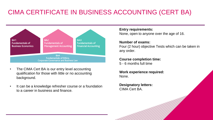### CIMA CERTIFICATE IN BUSINESS ACCOUNTING (CERT BA)



- The CIMA Cert BA is our entry level accounting qualification for those with little or no accounting background.
- It can be a knowledge refresher course or a foundation to a career in business and finance.

**Entry requirements:** None, open to anyone over the age of 16.

#### **Number of exams:**

Four (2 hour) objective Tests which can be taken in any order.

#### **Course completion time:**

5 - 6 months full time

**Work experience required:**  None.

**Designatory letters:** CIMA Cert BA.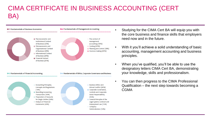### CIMA CERTIFICATE IN BUSINESS ACCOUNTING (CERT BA)



- Studying for the CIMA Cert BA will equip you with the core business and finance skills that employers need now and in the future.
- With it you'll achieve a solid understanding of basic accounting, management accounting and business principles.
- When you've qualified, you'll be able to use the designatory letters CIMA Cert BA, demonstrating your knowledge, skills and professionalism.
- You can then progress to the CIMA Professional Qualification – the next step towards becoming a CGMA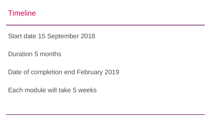

Start date 15 September 2018

Duration 5 months

Date of completion end February 2019

Each module will take 5 weeks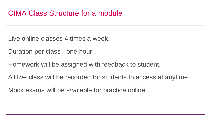Live online classes 4 times a week.

Duration per class - one hour.

Homework will be assigned with feedback to student.

All live class will be recorded for students to access at anytime.

Mock exams will be available for practice online.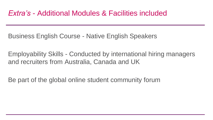Business English Course - Native English Speakers

Employability Skills - Conducted by international hiring managers and recruiters from Australia, Canada and UK

Be part of the global online student community forum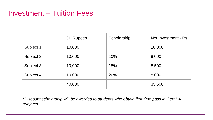### Investment – Tuition Fees

|           | <b>SL Rupees</b> | Scholarship* | Net Investment - Rs. |
|-----------|------------------|--------------|----------------------|
| Subject 1 | 10,000           |              | 10,000               |
| Subject 2 | 10,000           | 10%          | 9,000                |
| Subject 3 | 10,000           | 15%          | 8,500                |
| Subject 4 | 10,000           | 20%          | 8,000                |
|           | 40,000           |              | 35,500               |

*\*Discount scholarship will be awarded to students who obtain first time pass in Cert BA subjects.*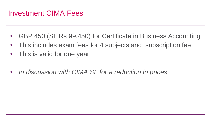### Investment CIMA Fees

- GBP 450 (SL Rs 99,450) for Certificate in Business Accounting
- This includes exam fees for 4 subjects and subscription fee
- This is valid for one year
- *In discussion with CIMA SL for a reduction in prices*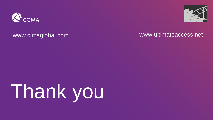



#### www.cimaglobal.com www.ultimateaccess.net

# Thank you